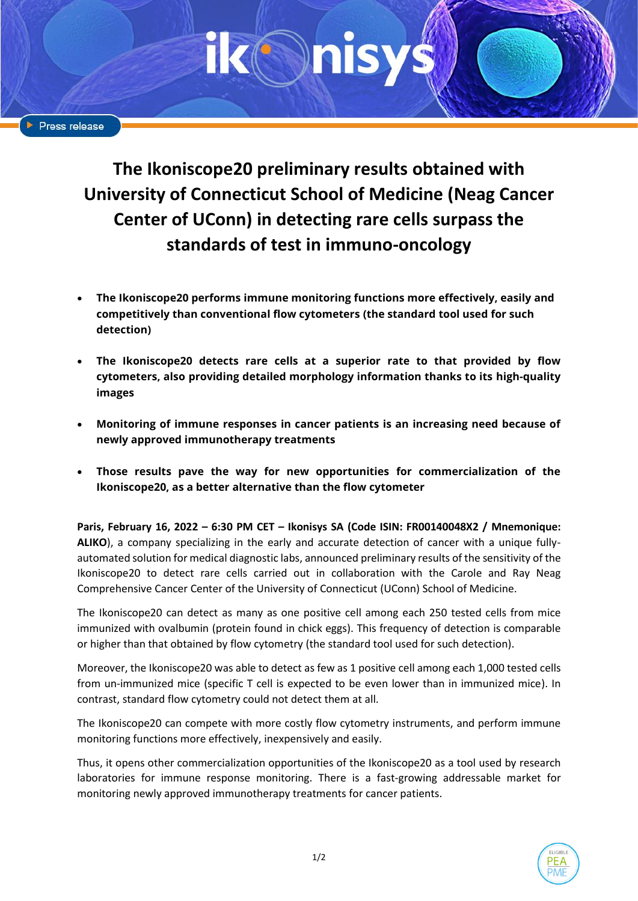**The Ikoniscope20 preliminary results obtained with University of Connecticut School of Medicine (Neag Cancer Center of UConn) in detecting rare cells surpass the standards of test in immuno-oncology**

- **The Ikoniscope20 performs immune monitoring functions more effectively, easily and competitively than conventional flow cytometers (the standard tool used for such detection)**
- **The Ikoniscope20 detects rare cells at a superior rate to that provided by flow cytometers, also providing detailed morphology information thanks to its high-quality images**
- **Monitoring of immune responses in cancer patients is an increasing need because of newly approved immunotherapy treatments**
- **Those results pave the way for new opportunities for commercialization of the Ikoniscope20, as a better alternative than the flow cytometer**

**Paris, February 16, 2022 – 6:30 PM CET – Ikonisys SA (Code ISIN: FR00140048X2 / Mnemonique: ALIKO**), a company specializing in the early and accurate detection of cancer with a unique fullyautomated solution for medical diagnostic labs, announced preliminary results of the sensitivity of the Ikoniscope20 to detect rare cells carried out in collaboration with the Carole and Ray Neag Comprehensive Cancer Center of the University of Connecticut (UConn) School of Medicine.

The Ikoniscope20 can detect as many as one positive cell among each 250 tested cells from mice immunized with ovalbumin (protein found in chick eggs). This frequency of detection is comparable or higher than that obtained by flow cytometry (the standard tool used for such detection).

Moreover, the Ikoniscope20 was able to detect as few as 1 positive cell among each 1,000 tested cells from un-immunized mice (specific T cell is expected to be even lower than in immunized mice). In contrast, standard flow cytometry could not detect them at all.

The Ikoniscope20 can compete with more costly flow cytometry instruments, and perform immune monitoring functions more effectively, inexpensively and easily.

Thus, it opens other commercialization opportunities of the Ikoniscope20 as a tool used by research laboratories for immune response monitoring. There is a fast-growing addressable market for monitoring newly approved immunotherapy treatments for cancer patients.